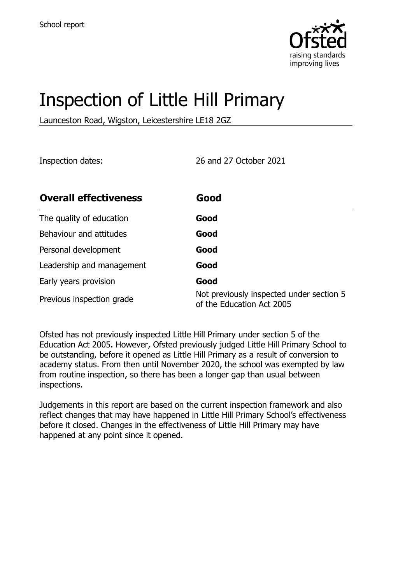

# Inspection of Little Hill Primary

Launceston Road, Wigston, Leicestershire LE18 2GZ

Inspection dates: 26 and 27 October 2021

| <b>Overall effectiveness</b> | Good                                                                  |
|------------------------------|-----------------------------------------------------------------------|
| The quality of education     | Good                                                                  |
| Behaviour and attitudes      | Good                                                                  |
| Personal development         | Good                                                                  |
| Leadership and management    | Good                                                                  |
| Early years provision        | Good                                                                  |
| Previous inspection grade    | Not previously inspected under section 5<br>of the Education Act 2005 |

Ofsted has not previously inspected Little Hill Primary under section 5 of the Education Act 2005. However, Ofsted previously judged Little Hill Primary School to be outstanding, before it opened as Little Hill Primary as a result of conversion to academy status. From then until November 2020, the school was exempted by law from routine inspection, so there has been a longer gap than usual between inspections.

Judgements in this report are based on the current inspection framework and also reflect changes that may have happened in Little Hill Primary School's effectiveness before it closed. Changes in the effectiveness of Little Hill Primary may have happened at any point since it opened.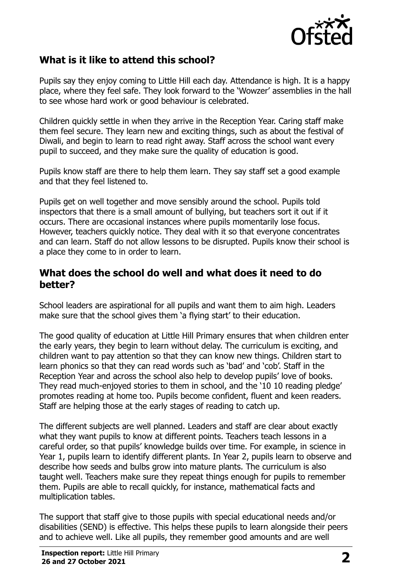

## **What is it like to attend this school?**

Pupils say they enjoy coming to Little Hill each day. Attendance is high. It is a happy place, where they feel safe. They look forward to the 'Wowzer' assemblies in the hall to see whose hard work or good behaviour is celebrated.

Children quickly settle in when they arrive in the Reception Year. Caring staff make them feel secure. They learn new and exciting things, such as about the festival of Diwali, and begin to learn to read right away. Staff across the school want every pupil to succeed, and they make sure the quality of education is good.

Pupils know staff are there to help them learn. They say staff set a good example and that they feel listened to.

Pupils get on well together and move sensibly around the school. Pupils told inspectors that there is a small amount of bullying, but teachers sort it out if it occurs. There are occasional instances where pupils momentarily lose focus. However, teachers quickly notice. They deal with it so that everyone concentrates and can learn. Staff do not allow lessons to be disrupted. Pupils know their school is a place they come to in order to learn.

#### **What does the school do well and what does it need to do better?**

School leaders are aspirational for all pupils and want them to aim high. Leaders make sure that the school gives them 'a flying start' to their education.

The good quality of education at Little Hill Primary ensures that when children enter the early years, they begin to learn without delay. The curriculum is exciting, and children want to pay attention so that they can know new things. Children start to learn phonics so that they can read words such as 'bad' and 'cob'. Staff in the Reception Year and across the school also help to develop pupils' love of books. They read much-enjoyed stories to them in school, and the '10 10 reading pledge' promotes reading at home too. Pupils become confident, fluent and keen readers. Staff are helping those at the early stages of reading to catch up.

The different subjects are well planned. Leaders and staff are clear about exactly what they want pupils to know at different points. Teachers teach lessons in a careful order, so that pupils' knowledge builds over time. For example, in science in Year 1, pupils learn to identify different plants. In Year 2, pupils learn to observe and describe how seeds and bulbs grow into mature plants. The curriculum is also taught well. Teachers make sure they repeat things enough for pupils to remember them. Pupils are able to recall quickly, for instance, mathematical facts and multiplication tables.

The support that staff give to those pupils with special educational needs and/or disabilities (SEND) is effective. This helps these pupils to learn alongside their peers and to achieve well. Like all pupils, they remember good amounts and are well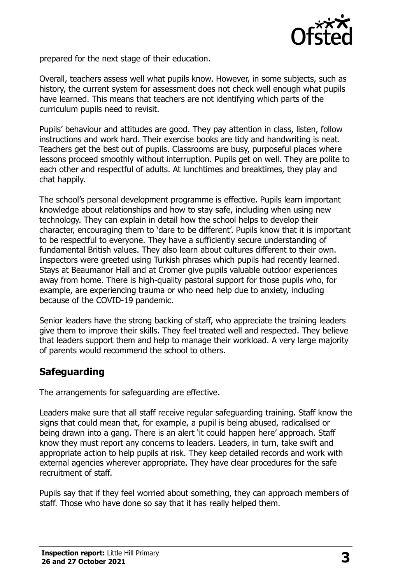

prepared for the next stage of their education.

Overall, teachers assess well what pupils know. However, in some subjects, such as history, the current system for assessment does not check well enough what pupils have learned. This means that teachers are not identifying which parts of the curriculum pupils need to revisit.

Pupils' behaviour and attitudes are good. They pay attention in class, listen, follow instructions and work hard. Their exercise books are tidy and handwriting is neat. Teachers get the best out of pupils. Classrooms are busy, purposeful places where lessons proceed smoothly without interruption. Pupils get on well. They are polite to each other and respectful of adults. At lunchtimes and breaktimes, they play and chat happily.

The school's personal development programme is effective. Pupils learn important knowledge about relationships and how to stay safe, including when using new technology. They can explain in detail how the school helps to develop their character, encouraging them to 'dare to be different'. Pupils know that it is important to be respectful to everyone. They have a sufficiently secure understanding of fundamental British values. They also learn about cultures different to their own. Inspectors were greeted using Turkish phrases which pupils had recently learned. Stays at Beaumanor Hall and at Cromer give pupils valuable outdoor experiences away from home. There is high-quality pastoral support for those pupils who, for example, are experiencing trauma or who need help due to anxiety, including because of the COVID-19 pandemic.

Senior leaders have the strong backing of staff, who appreciate the training leaders give them to improve their skills. They feel treated well and respected. They believe that leaders support them and help to manage their workload. A very large majority of parents would recommend the school to others.

# **Safeguarding**

The arrangements for safeguarding are effective.

Leaders make sure that all staff receive regular safeguarding training. Staff know the signs that could mean that, for example, a pupil is being abused, radicalised or being drawn into a gang. There is an alert 'it could happen here' approach. Staff know they must report any concerns to leaders. Leaders, in turn, take swift and appropriate action to help pupils at risk. They keep detailed records and work with external agencies wherever appropriate. They have clear procedures for the safe recruitment of staff.

Pupils say that if they feel worried about something, they can approach members of staff. Those who have done so say that it has really helped them.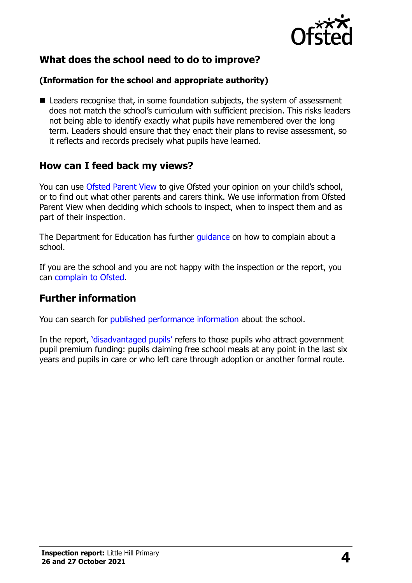

# **What does the school need to do to improve?**

#### **(Information for the school and appropriate authority)**

■ Leaders recognise that, in some foundation subjects, the system of assessment does not match the school's curriculum with sufficient precision. This risks leaders not being able to identify exactly what pupils have remembered over the long term. Leaders should ensure that they enact their plans to revise assessment, so it reflects and records precisely what pupils have learned.

### **How can I feed back my views?**

You can use [Ofsted Parent View](http://parentview.ofsted.gov.uk/) to give Ofsted your opinion on your child's school, or to find out what other parents and carers think. We use information from Ofsted Parent View when deciding which schools to inspect, when to inspect them and as part of their inspection.

The Department for Education has further quidance on how to complain about a school.

If you are the school and you are not happy with the inspection or the report, you can [complain to Ofsted.](http://www.gov.uk/complain-ofsted-report)

### **Further information**

You can search for [published performance information](http://www.compare-school-performance.service.gov.uk/) about the school.

In the report, '[disadvantaged pupils](http://www.gov.uk/guidance/pupil-premium-information-for-schools-and-alternative-provision-settings)' refers to those pupils who attract government pupil premium funding: pupils claiming free school meals at any point in the last six years and pupils in care or who left care through adoption or another formal route.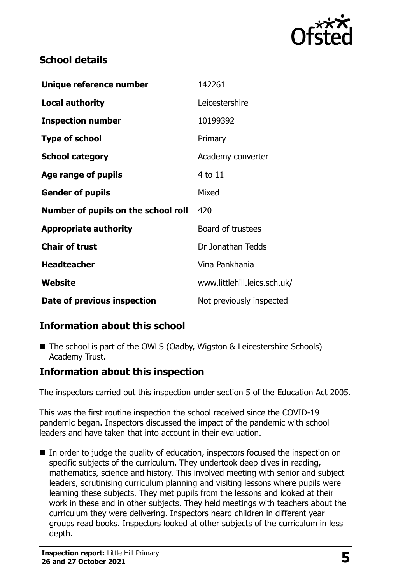

# **School details**

| Unique reference number             | 142261                       |
|-------------------------------------|------------------------------|
| <b>Local authority</b>              | Leicestershire               |
| <b>Inspection number</b>            | 10199392                     |
| <b>Type of school</b>               | Primary                      |
| <b>School category</b>              | Academy converter            |
| Age range of pupils                 | 4 to 11                      |
| <b>Gender of pupils</b>             | Mixed                        |
| Number of pupils on the school roll | 420                          |
| <b>Appropriate authority</b>        | Board of trustees            |
| <b>Chair of trust</b>               | Dr Jonathan Tedds            |
| <b>Headteacher</b>                  | Vina Pankhania               |
| <b>Website</b>                      | www.littlehill.leics.sch.uk/ |
| Date of previous inspection         | Not previously inspected     |

# **Information about this school**

■ The school is part of the OWLS (Oadby, Wigston & Leicestershire Schools) Academy Trust.

# **Information about this inspection**

The inspectors carried out this inspection under section 5 of the Education Act 2005.

This was the first routine inspection the school received since the COVID-19 pandemic began. Inspectors discussed the impact of the pandemic with school leaders and have taken that into account in their evaluation.

In order to judge the quality of education, inspectors focused the inspection on specific subjects of the curriculum. They undertook deep dives in reading, mathematics, science and history. This involved meeting with senior and subject leaders, scrutinising curriculum planning and visiting lessons where pupils were learning these subjects. They met pupils from the lessons and looked at their work in these and in other subjects. They held meetings with teachers about the curriculum they were delivering. Inspectors heard children in different year groups read books. Inspectors looked at other subjects of the curriculum in less depth.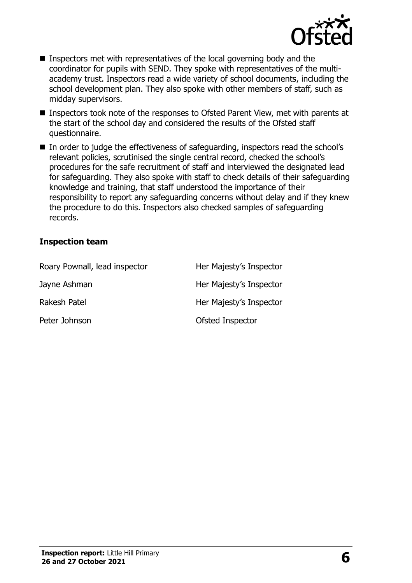

- Inspectors met with representatives of the local governing body and the coordinator for pupils with SEND. They spoke with representatives of the multiacademy trust. Inspectors read a wide variety of school documents, including the school development plan. They also spoke with other members of staff, such as midday supervisors.
- Inspectors took note of the responses to Ofsted Parent View, met with parents at the start of the school day and considered the results of the Ofsted staff questionnaire.
- In order to judge the effectiveness of safeguarding, inspectors read the school's relevant policies, scrutinised the single central record, checked the school's procedures for the safe recruitment of staff and interviewed the designated lead for safeguarding. They also spoke with staff to check details of their safeguarding knowledge and training, that staff understood the importance of their responsibility to report any safeguarding concerns without delay and if they knew the procedure to do this. Inspectors also checked samples of safeguarding records.

#### **Inspection team**

| Roary Pownall, lead inspector | Her Majesty's Inspector |
|-------------------------------|-------------------------|
| Jayne Ashman                  | Her Majesty's Inspector |
| Rakesh Patel                  | Her Majesty's Inspector |
| Peter Johnson                 | Ofsted Inspector        |